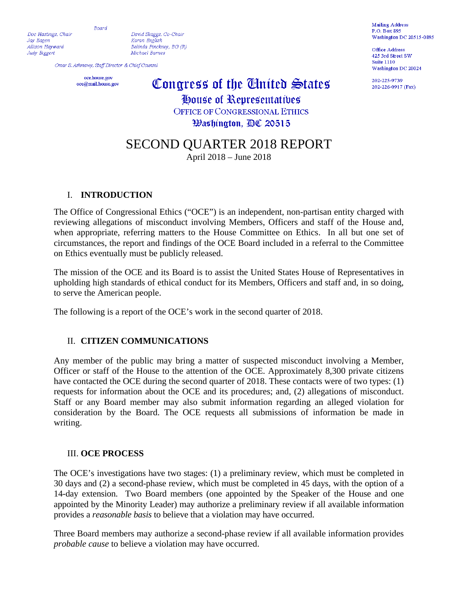Board

Doc Hastings, Chair

Jay Eagen Allison Havward

Judy Biggert

David Skaggs, Co-Chair Karan English Belinda Pinckney, BG (R) Michael Barnes

Omar S. Ashmawy, Staff Director & Chief Counsel

oce.house.gov oce@mail.house.gov

# Congress of the United States

House of Representatives **OFFICE OF CONGRESSIONAL ETHICS Washington, AC 20515** 

## SECOND QUARTER 2018 REPORT

April 2018 – June 2018

#### I. **INTRODUCTION**

The Office of Congressional Ethics ("OCE") is an independent, non-partisan entity charged with reviewing allegations of misconduct involving Members, Officers and staff of the House and, when appropriate, referring matters to the House Committee on Ethics. In all but one set of circumstances, the report and findings of the OCE Board included in a referral to the Committee on Ethics eventually must be publicly released.

The mission of the OCE and its Board is to assist the United States House of Representatives in upholding high standards of ethical conduct for its Members, Officers and staff and, in so doing, to serve the American people.

The following is a report of the OCE's work in the second quarter of 2018.

#### II. **CITIZEN COMMUNICATIONS**

Any member of the public may bring a matter of suspected misconduct involving a Member, Officer or staff of the House to the attention of the OCE. Approximately 8,300 private citizens have contacted the OCE during the second quarter of 2018. These contacts were of two types: (1) requests for information about the OCE and its procedures; and, (2) allegations of misconduct. Staff or any Board member may also submit information regarding an alleged violation for consideration by the Board. The OCE requests all submissions of information be made in writing.

#### III. **OCE PROCESS**

The OCE's investigations have two stages: (1) a preliminary review, which must be completed in 30 days and (2) a second-phase review, which must be completed in 45 days, with the option of a 14-day extension. Two Board members (one appointed by the Speaker of the House and one appointed by the Minority Leader) may authorize a preliminary review if all available information provides a *reasonable basis* to believe that a violation may have occurred.

Three Board members may authorize a second-phase review if all available information provides *probable cause* to believe a violation may have occurred.

Mailing Address P.O. Box 895 Washington DC 20515-0895

Office Address 425 3rd Street SW **Suite 1110** Washington DC 20024

202-225-0730 202-226-0917 (Fax)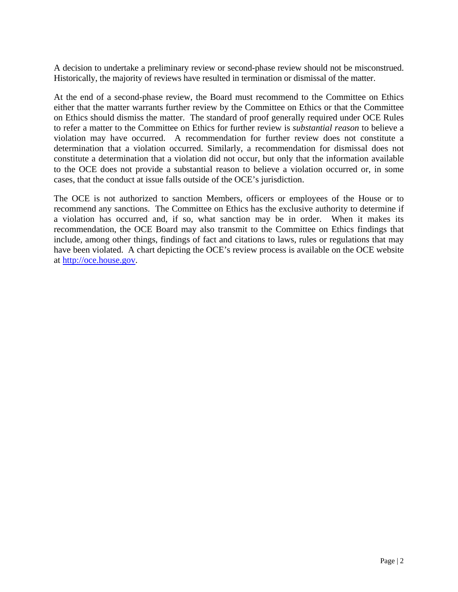A decision to undertake a preliminary review or second-phase review should not be misconstrued. Historically, the majority of reviews have resulted in termination or dismissal of the matter.

At the end of a second-phase review, the Board must recommend to the Committee on Ethics either that the matter warrants further review by the Committee on Ethics or that the Committee on Ethics should dismiss the matter. The standard of proof generally required under OCE Rules to refer a matter to the Committee on Ethics for further review is *substantial reason* to believe a violation may have occurred. A recommendation for further review does not constitute a determination that a violation occurred. Similarly, a recommendation for dismissal does not constitute a determination that a violation did not occur, but only that the information available to the OCE does not provide a substantial reason to believe a violation occurred or, in some cases, that the conduct at issue falls outside of the OCE's jurisdiction.

The OCE is not authorized to sanction Members, officers or employees of the House or to recommend any sanctions. The Committee on Ethics has the exclusive authority to determine if a violation has occurred and, if so, what sanction may be in order. When it makes its recommendation, the OCE Board may also transmit to the Committee on Ethics findings that include, among other things, findings of fact and citations to laws, rules or regulations that may have been violated. A chart depicting the OCE's review process is available on the OCE website at http://oce.house.gov.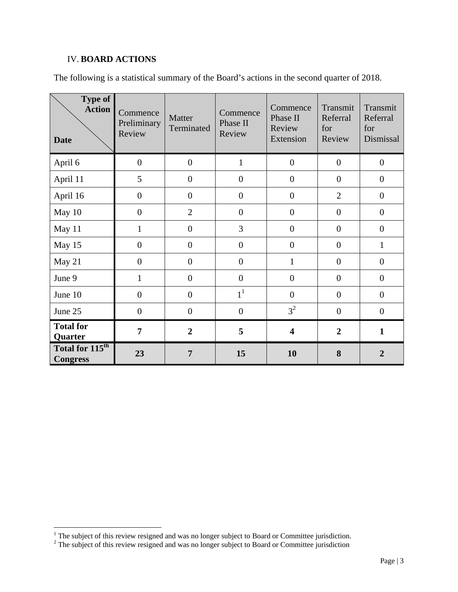### IV. **BOARD ACTIONS**

The following is a statistical summary of the Board's actions in the second quarter of 2018.

| <b>Type of</b><br><b>Action</b><br><b>Date</b> | Commence<br>Preliminary<br>Review | Matter<br>Terminated | Commence<br>Phase II<br>Review | Commence<br>Phase II<br>Review<br>Extension | Transmit<br>Referral<br>for<br>Review | Transmit<br>Referral<br>for<br>Dismissal |
|------------------------------------------------|-----------------------------------|----------------------|--------------------------------|---------------------------------------------|---------------------------------------|------------------------------------------|
| April 6                                        | $\overline{0}$                    | $\overline{0}$       | $\mathbf{1}$                   | $\boldsymbol{0}$                            | $\overline{0}$                        | $\overline{0}$                           |
| April 11                                       | 5                                 | $\overline{0}$       | $\boldsymbol{0}$               | $\overline{0}$                              | $\overline{0}$                        | $\overline{0}$                           |
| April 16                                       | $\boldsymbol{0}$                  | $\mathbf{0}$         | $\overline{0}$                 | $\boldsymbol{0}$                            | $\overline{2}$                        | $\overline{0}$                           |
| May 10                                         | $\overline{0}$                    | $\overline{2}$       | $\boldsymbol{0}$               | $\overline{0}$                              | $\overline{0}$                        | $\overline{0}$                           |
| May 11                                         | $\mathbf{1}$                      | $\boldsymbol{0}$     | 3                              | $\boldsymbol{0}$                            | $\overline{0}$                        | $\overline{0}$                           |
| May 15                                         | $\overline{0}$                    | $\overline{0}$       | $\boldsymbol{0}$               | $\boldsymbol{0}$                            | $\boldsymbol{0}$                      | $\mathbf{1}$                             |
| May 21                                         | $\boldsymbol{0}$                  | $\boldsymbol{0}$     | $\boldsymbol{0}$               | $\mathbf{1}$                                | $\overline{0}$                        | $\overline{0}$                           |
| June 9                                         | $\mathbf{1}$                      | $\overline{0}$       | $\overline{0}$                 | $\overline{0}$                              | $\overline{0}$                        | $\overline{0}$                           |
| June 10                                        | $\overline{0}$                    | $\overline{0}$       | 1 <sup>1</sup>                 | $\overline{0}$                              | $\overline{0}$                        | $\overline{0}$                           |
| June 25                                        | $\boldsymbol{0}$                  | $\overline{0}$       | $\boldsymbol{0}$               | 3 <sup>2</sup>                              | $\boldsymbol{0}$                      | $\overline{0}$                           |
| <b>Total for</b><br>Quarter                    | 7                                 | $\overline{2}$       | 5                              | $\overline{\mathbf{4}}$                     | $\overline{2}$                        | $\mathbf{1}$                             |
| Total for 115 <sup>th</sup><br><b>Congress</b> | 23                                | 7                    | 15                             | 10                                          | 8                                     | $\overline{2}$                           |

<sup>&</sup>lt;sup>1</sup> The subject of this review resigned and was no longer subject to Board or Committee jurisdiction.<br><sup>2</sup> The subject of this review resigned and was no longer subject to Board or Committee jurisdiction